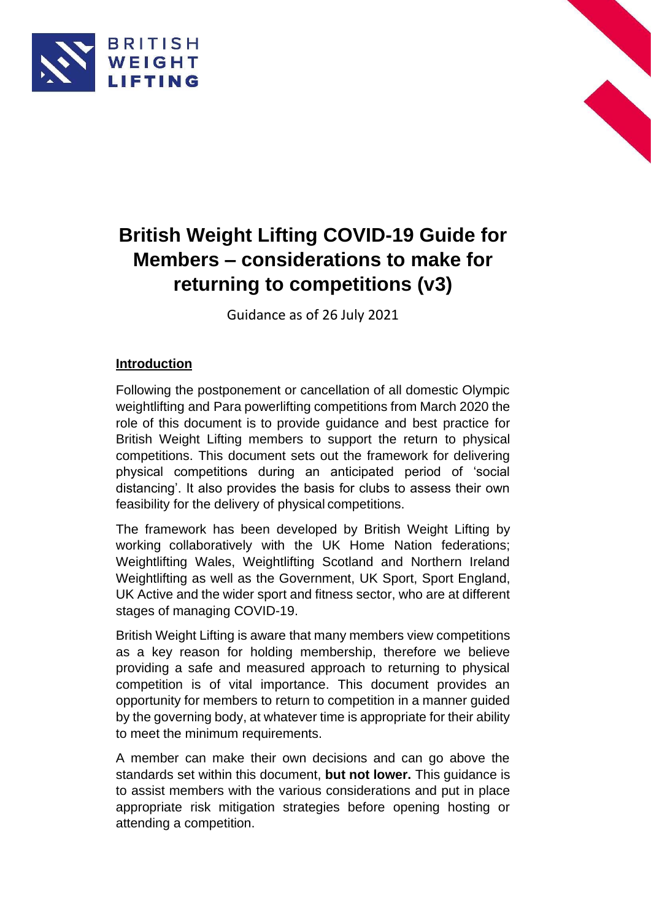



# **British Weight Lifting COVID-19 Guide for Members – considerations to make for returning to competitions (v3)**

Guidance as of 26 July 2021

# **Introduction**

Following the postponement or cancellation of all domestic Olympic weightlifting and Para powerlifting competitions from March 2020 the role of this document is to provide guidance and best practice for British Weight Lifting members to support the return to physical competitions. This document sets out the framework for delivering physical competitions during an anticipated period of 'social distancing'. It also provides the basis for clubs to assess their own feasibility for the delivery of physical competitions.

The framework has been developed by British Weight Lifting by working collaboratively with the UK Home Nation federations; Weightlifting Wales, Weightlifting Scotland and Northern Ireland Weightlifting as well as the Government, UK Sport, Sport England, UK Active and the wider sport and fitness sector, who are at different stages of managing COVID-19.

British Weight Lifting is aware that many members view competitions as a key reason for holding membership, therefore we believe providing a safe and measured approach to returning to physical competition is of vital importance. This document provides an opportunity for members to return to competition in a manner guided by the governing body, at whatever time is appropriate for their ability to meet the minimum requirements.

A member can make their own decisions and can go above the standards set within this document, **but not lower.** This guidance is to assist members with the various considerations and put in place appropriate risk mitigation strategies before opening hosting or attending a competition.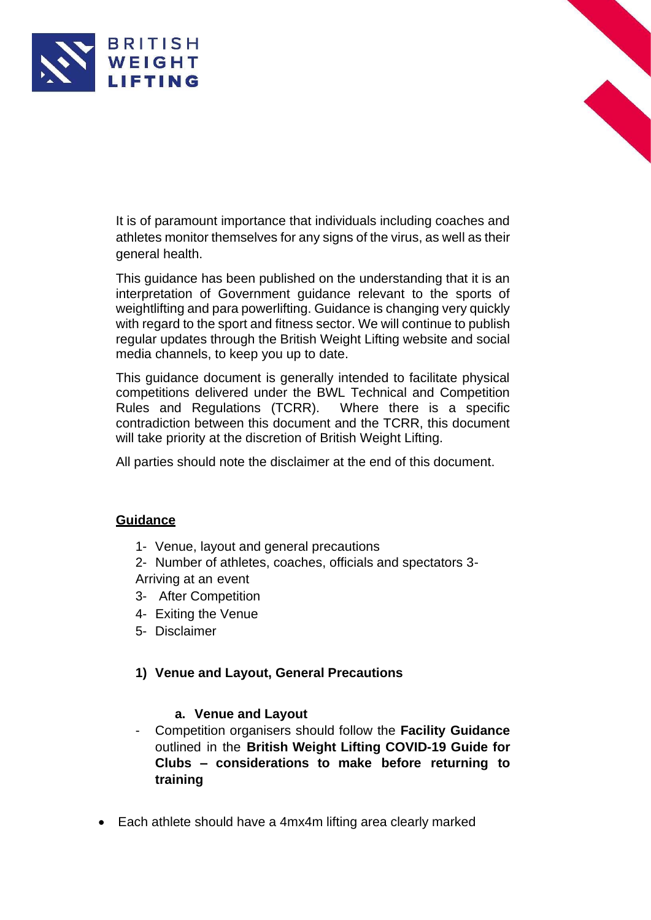



It is of paramount importance that individuals including coaches and athletes monitor themselves for any signs of the virus, as well as their general health.

This guidance has been published on the understanding that it is an interpretation of Government guidance relevant to the sports of weightlifting and para powerlifting. Guidance is changing very quickly with regard to the sport and fitness sector. We will continue to publish regular updates through the British Weight Lifting website and social media channels, to keep you up to date.

This guidance document is generally intended to facilitate physical competitions delivered under the BWL Technical and Competition Rules and Regulations (TCRR). Where there is a specific contradiction between this document and the TCRR, this document will take priority at the discretion of British Weight Lifting.

All parties should note the disclaimer at the end of this document.

#### **Guidance**

1- Venue, layout and general precautions

2- Number of athletes, coaches, officials and spectators 3- Arriving at an event

- 3- After Competition
- 4- Exiting the Venue
- 5- Disclaimer

## **1) Venue and Layout, General Precautions**

#### **a. Venue and Layout**

- Competition organisers should follow the **Facility Guidance**  outlined in the **British Weight Lifting COVID-19 Guide for Clubs – considerations to make before returning to training**
- Each athlete should have a 4mx4m lifting area clearly marked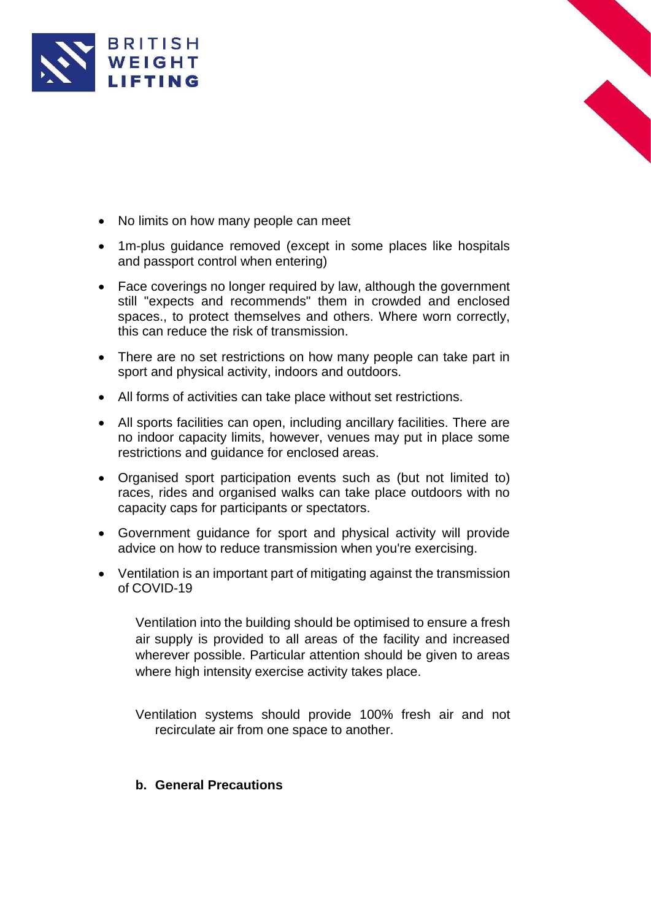



- No limits on how many people can meet
- 1m-plus guidance removed (except in some places like hospitals and passport control when entering)
- Face coverings no longer required by law, although the government still "expects and recommends" them in crowded and enclosed spaces., to protect themselves and others. Where worn correctly, this can reduce the risk of transmission.
- There are no set restrictions on how many people can take part in sport and physical activity, indoors and outdoors.
- All forms of activities can take place without set restrictions.
- All sports facilities can open, including ancillary facilities. There are no indoor capacity limits, however, venues may put in place some restrictions and guidance for enclosed areas.
- Organised sport participation events such as (but not limited to) races, rides and organised walks can take place outdoors with no capacity caps for participants or spectators.
- Government guidance for sport and physical activity will provide advice on how to reduce transmission when you're exercising.
- Ventilation is an important part of mitigating against the transmission of COVID-19

Ventilation into the building should be optimised to ensure a fresh air supply is provided to all areas of the facility and increased wherever possible. Particular attention should be given to areas where high intensity exercise activity takes place.

Ventilation systems should provide 100% fresh air and not recirculate air from one space to another.

#### **b. General Precautions**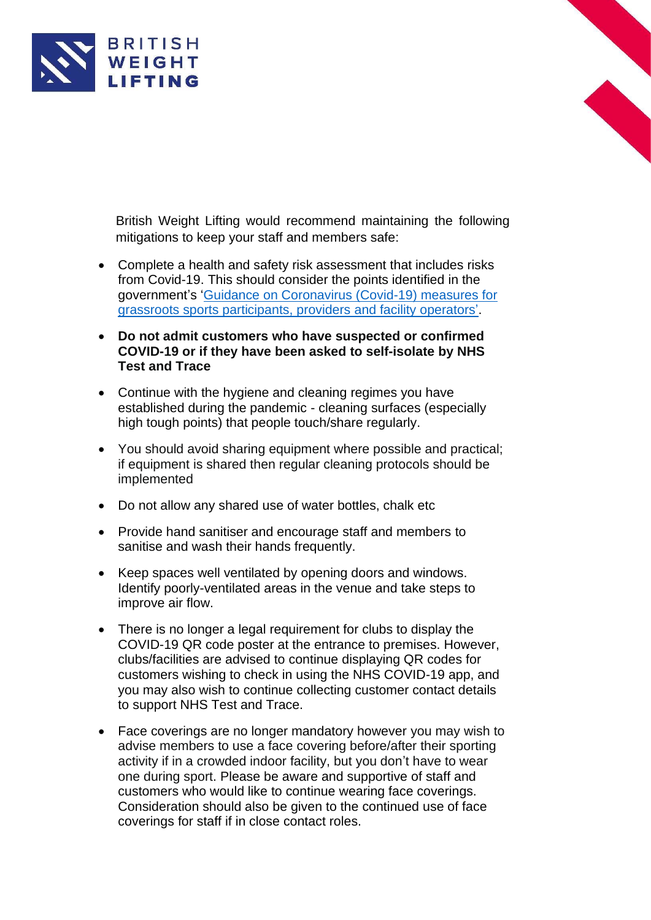

British Weight Lifting would recommend maintaining the following mitigations to keep your staff and members safe:

- Complete a health and safety risk assessment that includes risks from Covid-19. This should consider the points identified in the government's ['Guidance on Coronavirus \(Covid-19\) measures for](https://www.gov.uk/guidance/coronavirus-covid-19-grassroots-sports-guidance-for-the-public-and-sport-providers#how-to-manage-a-sport-facility-safely)  [grassroots sports participants, providers](https://www.gov.uk/guidance/coronavirus-covid-19-grassroots-sports-guidance-for-the-public-and-sport-providers#how-to-manage-a-sport-facility-safely) and facility operators'.
- **Do not admit customers who have suspected or confirmed COVID-19 or if they have been asked to self-isolate by NHS Test and Trace**
- Continue with the hygiene and cleaning regimes you have established during the pandemic - cleaning surfaces (especially high tough points) that people touch/share regularly.
- You should avoid sharing equipment where possible and practical; if equipment is shared then regular cleaning protocols should be implemented
- Do not allow any shared use of water bottles, chalk etc
- Provide hand sanitiser and encourage staff and members to sanitise and wash their hands frequently.
- Keep spaces well ventilated by opening doors and windows. Identify poorly-ventilated areas in the venue and take steps to improve air flow.
- There is no longer a legal requirement for clubs to display the COVID-19 QR code poster at the entrance to premises. However, clubs/facilities are advised to continue displaying QR codes for customers wishing to check in using the NHS COVID-19 app, and you may also wish to continue collecting customer contact details to support NHS Test and Trace.
- Face coverings are no longer mandatory however you may wish to advise members to use a face covering before/after their sporting activity if in a crowded indoor facility, but you don't have to wear one during sport. Please be aware and supportive of staff and customers who would like to continue wearing face coverings. Consideration should also be given to the continued use of face coverings for staff if in close contact roles.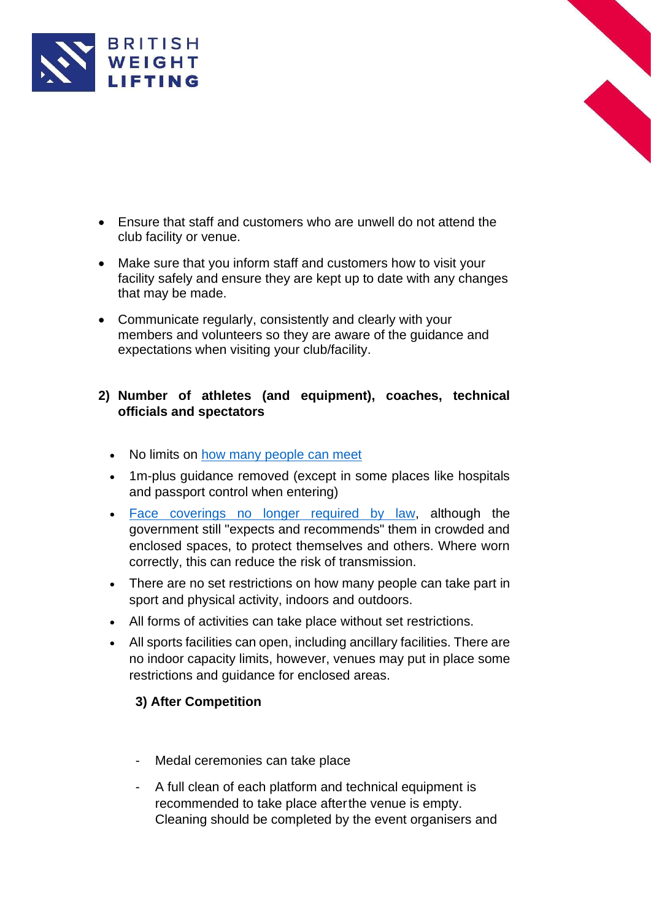

- Ensure that staff and customers who are unwell do not attend the club facility or venue.
- Make sure that you inform staff and customers how to visit your facility safely and ensure they are kept up to date with any changes that may be made.
- Communicate regularly, consistently and clearly with your members and volunteers so they are aware of the guidance and expectations when visiting your club/facility.

### **2) Number of athletes (and equipment), coaches, technical officials and spectators**

- No limits on [how many people can meet](https://www.bbc.co.uk/news/uk-51506729)
- 1m-plus guidance removed (except in some places like hospitals and passport control when entering)
- Face coverings no [longer required by law,](https://www.bbc.co.uk/news/health-51205344) although the government still "expects and recommends" them in crowded and enclosed spaces, to protect themselves and others. Where worn correctly, this can reduce the risk of transmission.
- There are no set restrictions on how many people can take part in sport and physical activity, indoors and outdoors.
- All forms of activities can take place without set restrictions.
- All sports facilities can open, including ancillary facilities. There are no indoor capacity limits, however, venues may put in place some restrictions and guidance for enclosed areas.

# **3) After Competition**

- Medal ceremonies can take place
- A full clean of each platform and technical equipment is recommended to take place afterthe venue is empty. Cleaning should be completed by the event organisers and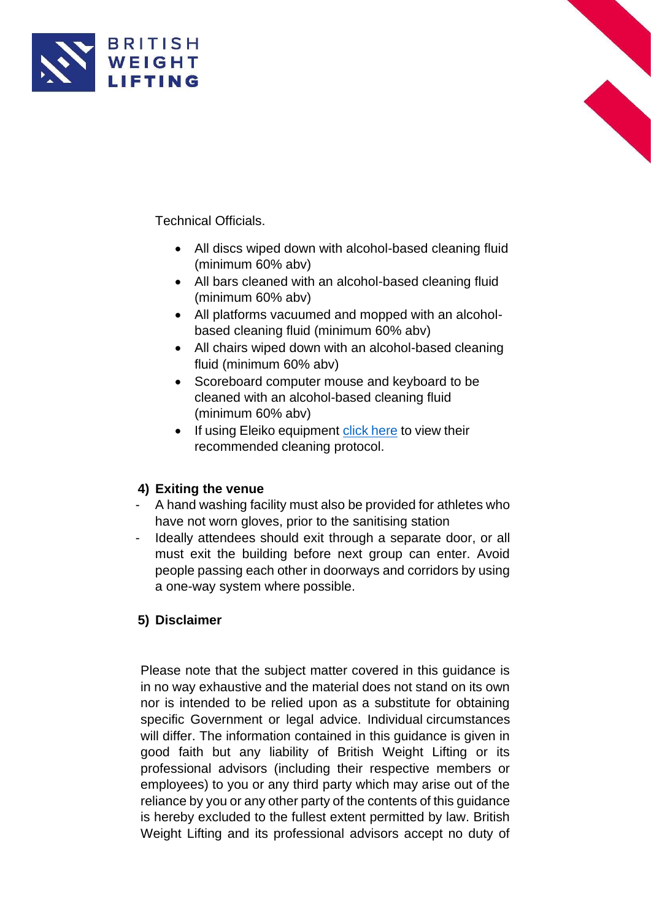



- All discs wiped down with alcohol-based cleaning fluid (minimum 60% abv)
- All bars cleaned with an alcohol-based cleaning fluid (minimum 60% abv)
- All platforms vacuumed and mopped with an alcoholbased cleaning fluid (minimum 60% abv)
- All chairs wiped down with an alcohol-based cleaning fluid (minimum 60% abv)
- Scoreboard computer mouse and keyboard to be cleaned with an alcohol-based cleaning fluid (minimum 60% abv)
- If using Eleiko equipment click [here](https://www.eleiko.com/files/eleiko-cleaning-guidelines.pdf) to view their recommended cleaning protocol.

# **4) Exiting the venue**

- A hand washing facility must also be provided for athletes who have not worn gloves, prior to the sanitising station
- Ideally attendees should exit through a separate door, or all must exit the building before next group can enter. Avoid people passing each other in doorways and corridors by using a one-way system where possible.

## **5) Disclaimer**

Please note that the subject matter covered in this guidance is in no way exhaustive and the material does not stand on its own nor is intended to be relied upon as a substitute for obtaining specific Government or legal advice. Individual circumstances will differ. The information contained in this guidance is given in good faith but any liability of British Weight Lifting or its professional advisors (including their respective members or employees) to you or any third party which may arise out of the reliance by you or any other party of the contents of this guidance is hereby excluded to the fullest extent permitted by law. British Weight Lifting and its professional advisors accept no duty of